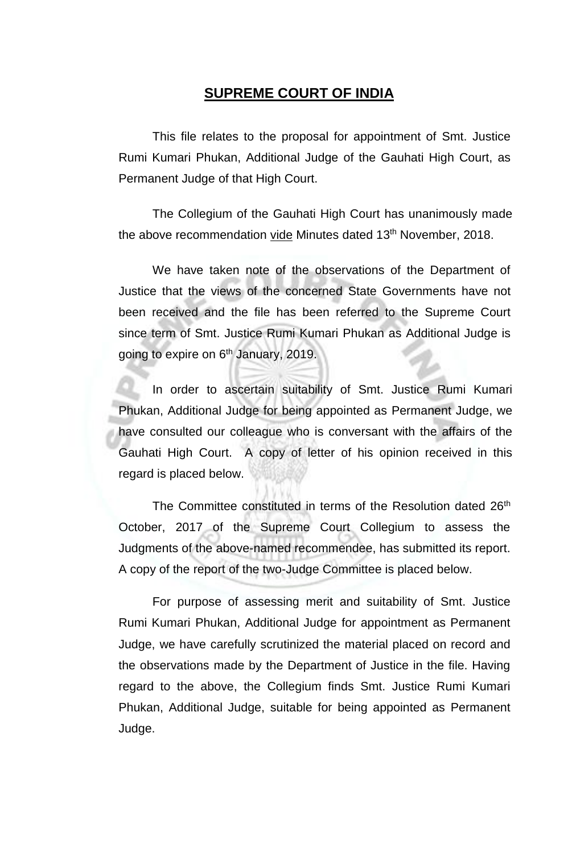## **SUPREME COURT OF INDIA**

This file relates to the proposal for appointment of Smt. Justice Rumi Kumari Phukan, Additional Judge of the Gauhati High Court, as Permanent Judge of that High Court.

The Collegium of the Gauhati High Court has unanimously made the above recommendation <u>vide</u> Minutes dated 13<sup>th</sup> November, 2018.

We have taken note of the observations of the Department of Justice that the views of the concerned State Governments have not been received and the file has been referred to the Supreme Court since term of Smt. Justice Rumi Kumari Phukan as Additional Judge is going to expire on 6<sup>th</sup> January, 2019.

In order to ascertain suitability of Smt. Justice Rumi Kumari Phukan, Additional Judge for being appointed as Permanent Judge, we have consulted our colleague who is conversant with the affairs of the Gauhati High Court. A copy of letter of his opinion received in this regard is placed below.

The Committee constituted in terms of the Resolution dated 26<sup>th</sup> October, 2017 of the Supreme Court Collegium to assess the Judgments of the above-named recommendee, has submitted its report. A copy of the report of the two-Judge Committee is placed below.

For purpose of assessing merit and suitability of Smt. Justice Rumi Kumari Phukan, Additional Judge for appointment as Permanent Judge, we have carefully scrutinized the material placed on record and the observations made by the Department of Justice in the file. Having regard to the above, the Collegium finds Smt. Justice Rumi Kumari Phukan, Additional Judge, suitable for being appointed as Permanent Judge.